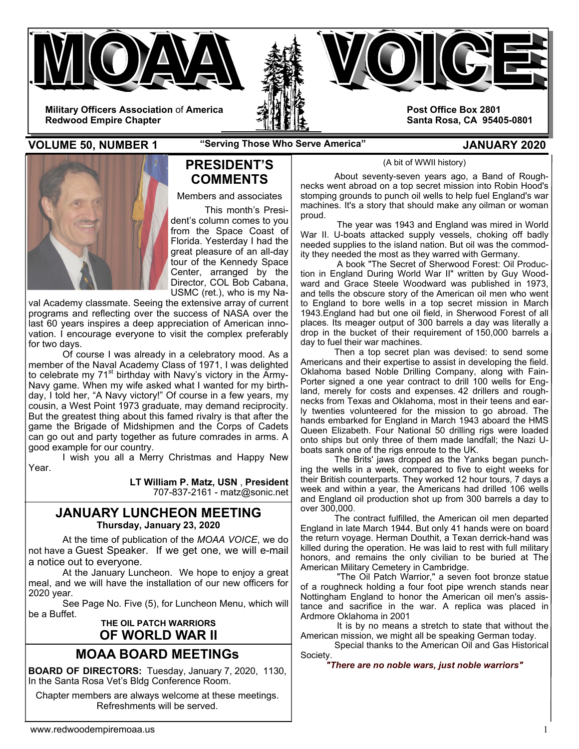

**VOLUME 50, NUMBER 1 "Serving Those Who Serve America" JANUARY 2020** 



## **PRESIDENT'S COMMENTS**

Members and associates

 This month's President's column comes to you from the Space Coast of Florida. Yesterday I had the great pleasure of an all-day tour of the Kennedy Space Center, arranged by the Director, COL Bob Cabana, USMC (ret.), who is my Na-

val Academy classmate. Seeing the extensive array of current programs and reflecting over the success of NASA over the last 60 years inspires a deep appreciation of American innovation. I encourage everyone to visit the complex preferably for two days.

 Of course I was already in a celebratory mood. As a member of the Naval Academy Class of 1971, I was delighted to celebrate my  $71<sup>st</sup>$  birthday with Navy's victory in the Army-Navy game. When my wife asked what I wanted for my birthday, I told her, "A Navy victory!" Of course in a few years, my cousin, a West Point 1973 graduate, may demand reciprocity. But the greatest thing about this famed rivalry is that after the game the Brigade of Midshipmen and the Corps of Cadets can go out and party together as future comrades in arms. A good example for our country.

 I wish you all a Merry Christmas and Happy New Year.

> **LT William P. Matz, USN** , **President** 707-837-2161 - matz@sonic.net

### **JANUARY LUNCHEON MEETING Thursday, January 23, 2020**

 At the time of publication of the *MOAA VOICE*, we do not have a Guest Speaker. If we get one, we will e-mail a notice out to everyone.

 At the January Luncheon. We hope to enjoy a great meal, and we will have the installation of our new officers for 2020 year.

 See Page No. Five (5), for Luncheon Menu, which will be a Buffet.

## **THE OIL PATCH WARRIORS OF WORLD WAR II**

# **MOAA BOARD MEETINGs**

**BOARD OF DIRECTORS:** Tuesday, January 7, 2020, 1130, In the Santa Rosa Vet's Bldg Conference Room.

Chapter members are always welcome at these meetings. Refreshments will be served.

(A bit of WWII history)

About seventy-seven years ago, a Band of Roughnecks went abroad on a top secret mission into Robin Hood's stomping grounds to punch oil wells to help fuel England's war machines. It's a story that should make any oilman or woman proud.

 The year was 1943 and England was mired in World War II. U-boats attacked supply vessels, choking off badly needed supplies to the island nation. But oil was the commodity they needed the most as they warred with Germany.

 A book "The Secret of Sherwood Forest: Oil Production in England During World War II" written by Guy Woodward and Grace Steele Woodward was published in 1973, and tells the obscure story of the American oil men who went to England to bore wells in a top secret mission in March 1943.England had but one oil field, in Sherwood Forest of all places. Its meager output of 300 barrels a day was literally a drop in the bucket of their requirement of 150,000 barrels a day to fuel their war machines.

 Then a top secret plan was devised: to send some Americans and their expertise to assist in developing the field. Oklahoma based Noble Drilling Company, along with Fain-Porter signed a one year contract to drill 100 wells for England, merely for costs and expenses. 42 drillers and roughnecks from Texas and Oklahoma, most in their teens and early twenties volunteered for the mission to go abroad. The hands embarked for England in March 1943 aboard the HMS Queen Elizabeth. Four National 50 drilling rigs were loaded onto ships but only three of them made landfall; the Nazi Uboats sank one of the rigs enroute to the UK.

 The Brits' jaws dropped as the Yanks began punching the wells in a week, compared to five to eight weeks for their British counterparts. They worked 12 hour tours, 7 days a week and within a year, the Americans had drilled 106 wells and England oil production shot up from 300 barrels a day to over 300,000.

 The contract fulfilled, the American oil men departed England in late March 1944. But only 41 hands were on board the return voyage. Herman Douthit, a Texan derrick-hand was killed during the operation. He was laid to rest with full military honors, and remains the only civilian to be buried at The American Military Cemetery in Cambridge.

 "The Oil Patch Warrior," a seven foot bronze statue of a roughneck holding a four foot pipe wrench stands near Nottingham England to honor the American oil men's assistance and sacrifice in the war. A replica was placed in Ardmore Oklahoma in 2001

 It is by no means a stretch to state that without the American mission, we might all be speaking German today.

 Special thanks to the American Oil and Gas Historical Society.

#### *"There are no noble wars, just noble warriors"*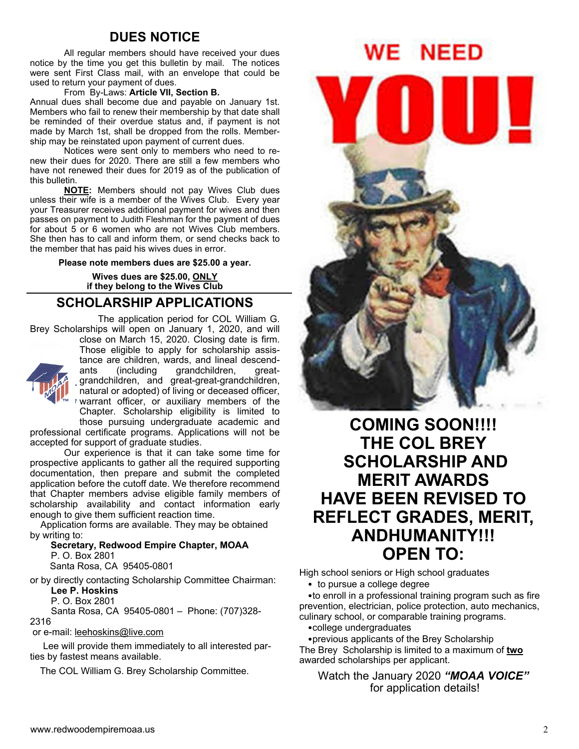## **DUES NOTICE**

All regular members should have received your dues notice by the time you get this bulletin by mail. The notices were sent First Class mail, with an envelope that could be used to return your payment of dues.

#### From By-Laws: **Article VII, Section B.**

Annual dues shall become due and payable on January 1st. Members who fail to renew their membership by that date shall be reminded of their overdue status and, if payment is not made by March 1st, shall be dropped from the rolls. Membership may be reinstated upon payment of current dues.

 Notices were sent only to members who need to renew their dues for 2020. There are still a few members who have not renewed their dues for 2019 as of the publication of this bulletin.

**NOTE:** Members should not pay Wives Club dues unless their wife is a member of the Wives Club. Every year your Treasurer receives additional payment for wives and then passes on payment to Judith Fleshman for the payment of dues for about 5 or 6 women who are not Wives Club members. She then has to call and inform them, or send checks back to the member that has paid his wives dues in error.

**Please note members dues are \$25.00 a year.** 

**Wives dues are \$25.00, ONLY if they belong to the Wives Club** 

## **SCHOLARSHIP APPLICATIONS**

 The application period for COL William G. Brey Scholarships will open on January 1, 2020, and will



close on March 15, 2020. Closing date is firm. Those eligible to apply for scholarship assistance are children, wards, and lineal descendants (including grandchildren, greatgrandchildren, and great-great-grandchildren, natural or adopted) of living or deceased officer, warrant officer, or auxiliary members of the Chapter. Scholarship eligibility is limited to

those pursuing undergraduate academic and professional certificate programs. Applications will not be accepted for support of graduate studies.

Our experience is that it can take some time for prospective applicants to gather all the required supporting documentation, then prepare and submit the completed application before the cutoff date. We therefore recommend that Chapter members advise eligible family members of scholarship availability and contact information early enough to give them sufficient reaction time.

 Application forms are available. They may be obtained by writing to:

 **Secretary, Redwood Empire Chapter, MOAA** P. O. Box 2801

Santa Rosa, CA 95405-0801

or by directly contacting Scholarship Committee Chairman: **Lee P. Hoskins**

P. O. Box 2801

 Santa Rosa, CA 95405-0801 – Phone: (707)328- 2316

or e-mail: leehoskins@live.com

 Lee will provide them immediately to all interested parties by fastest means available.

The COL William G. Brey Scholarship Committee.



**COMING SOON!!!! THE COL BREY SCHOLARSHIP AND MERIT AWARDS HAVE BEEN REVISED TO REFLECT GRADES, MERIT, ANDHUMANITY!!! OPEN TO:** 

High school seniors or High school graduates

• to pursue a college degree

•to enroll in a professional training program such as fire prevention, electrician, police protection, auto mechanics, culinary school, or comparable training programs.

•college undergraduates

•previous applicants of the Brey Scholarship The Brey Scholarship is limited to a maximum of **two** awarded scholarships per applicant.

Watch the January 2020 *"MOAA VOICE"* for application details!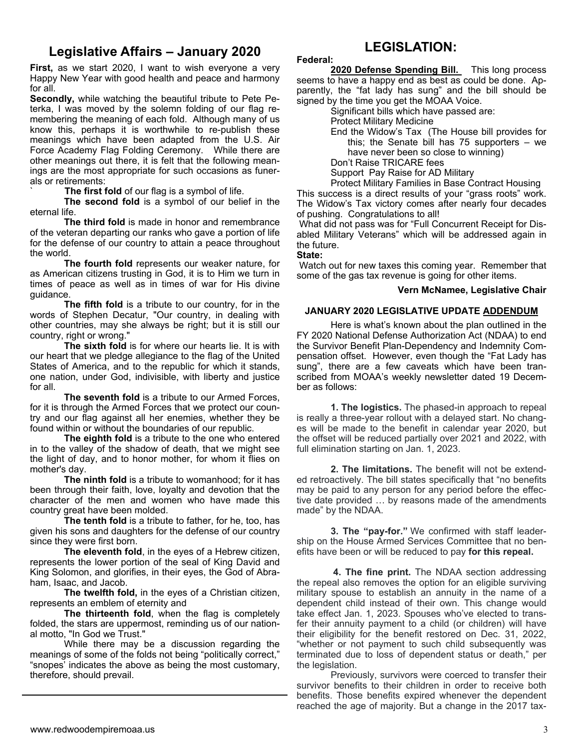# **Legislative Affairs – January 2020**

**First,** as we start 2020, I want to wish everyone a very Happy New Year with good health and peace and harmony for all.

**Secondly,** while watching the beautiful tribute to Pete Peterka, I was moved by the solemn folding of our flag remembering the meaning of each fold. Although many of us know this, perhaps it is worthwhile to re-publish these meanings which have been adapted from the U.S. Air Force Academy Flag Folding Ceremony. While there are other meanings out there, it is felt that the following meanings are the most appropriate for such occasions as funerals or retirements:

The first fold of our flag is a symbol of life.

**The second fold** is a symbol of our belief in the eternal life.

**The third fold** is made in honor and remembrance of the veteran departing our ranks who gave a portion of life for the defense of our country to attain a peace throughout the world.

**The fourth fold** represents our weaker nature, for as American citizens trusting in God, it is to Him we turn in times of peace as well as in times of war for His divine guidance.

**The fifth fold** is a tribute to our country, for in the words of Stephen Decatur, "Our country, in dealing with other countries, may she always be right; but it is still our country, right or wrong."

**The sixth fold** is for where our hearts lie. It is with our heart that we pledge allegiance to the flag of the United States of America, and to the republic for which it stands, one nation, under God, indivisible, with liberty and justice for all.

**The seventh fold** is a tribute to our Armed Forces, for it is through the Armed Forces that we protect our country and our flag against all her enemies, whether they be found within or without the boundaries of our republic.

**The eighth fold** is a tribute to the one who entered in to the valley of the shadow of death, that we might see the light of day, and to honor mother, for whom it flies on mother's day.

**The ninth fold** is a tribute to womanhood; for it has been through their faith, love, loyalty and devotion that the character of the men and women who have made this country great have been molded.

**The tenth fold** is a tribute to father, for he, too, has given his sons and daughters for the defense of our country since they were first born.

**The eleventh fold**, in the eyes of a Hebrew citizen, represents the lower portion of the seal of King David and King Solomon, and glorifies, in their eyes, the God of Abraham, Isaac, and Jacob.

**The twelfth fold,** in the eyes of a Christian citizen, represents an emblem of eternity and

**The thirteenth fold**, when the flag is completely folded, the stars are uppermost, reminding us of our national motto, "In God we Trust."

While there may be a discussion regarding the meanings of some of the folds not being "politically correct," "snopes' indicates the above as being the most customary, therefore, should prevail.

# **LEGISLATION:**

#### **Federal:**

2020 Defense Spending Bill. This long process seems to have a happy end as best as could be done. Apparently, the "fat lady has sung" and the bill should be signed by the time you get the MOAA Voice.

Significant bills which have passed are:

Protect Military Medicine

End the Widow's Tax (The House bill provides for this; the Senate bill has 75 supporters – we have never been so close to winning)

Don't Raise TRICARE fees

Support Pay Raise for AD Military

Protect Military Families in Base Contract Housing This success is a direct results of your "grass roots" work. The Widow's Tax victory comes after nearly four decades of pushing. Congratulations to all!

 What did not pass was for "Full Concurrent Receipt for Disabled Military Veterans" which will be addressed again in the future.

#### **State:**

Watch out for new taxes this coming year. Remember that some of the gas tax revenue is going for other items.

#### **Vern McNamee, Legislative Chair**

### **JANUARY 2020 LEGISLATIVE UPDATE ADDENDUM**

 Here is what's known about the plan outlined in the FY 2020 National Defense Authorization Act (NDAA) to end the Survivor Benefit Plan-Dependency and Indemnity Compensation offset. However, even though the "Fat Lady has sung", there are a few caveats which have been transcribed from MOAA's weekly newsletter dated 19 December as follows:

 **1. The logistics.** The phased-in approach to repeal is really a three-year rollout with a delayed start. No changes will be made to the benefit in calendar year 2020, but the offset will be reduced partially over 2021 and 2022, with full elimination starting on Jan. 1, 2023.

 **2. The limitations.** The benefit will not be extended retroactively. The bill states specifically that "no benefits may be paid to any person for any period before the effective date provided … by reasons made of the amendments made" by the NDAA.

 **3. The "pay-for."** We confirmed with staff leadership on the House Armed Services Committee that no benefits have been or will be reduced to pay **for this repeal.** 

 **4. The fine print.** The NDAA section addressing the repeal also removes the option for an eligible surviving military spouse to establish an annuity in the name of a dependent child instead of their own. This change would take effect Jan. 1, 2023. Spouses who've elected to transfer their annuity payment to a child (or children) will have their eligibility for the benefit restored on Dec. 31, 2022, "whether or not payment to such child subsequently was terminated due to loss of dependent status or death," per the legislation.

 Previously, survivors were coerced to transfer their survivor benefits to their children in order to receive both benefits. Those benefits expired whenever the dependent reached the age of majority. But a change in the 2017 tax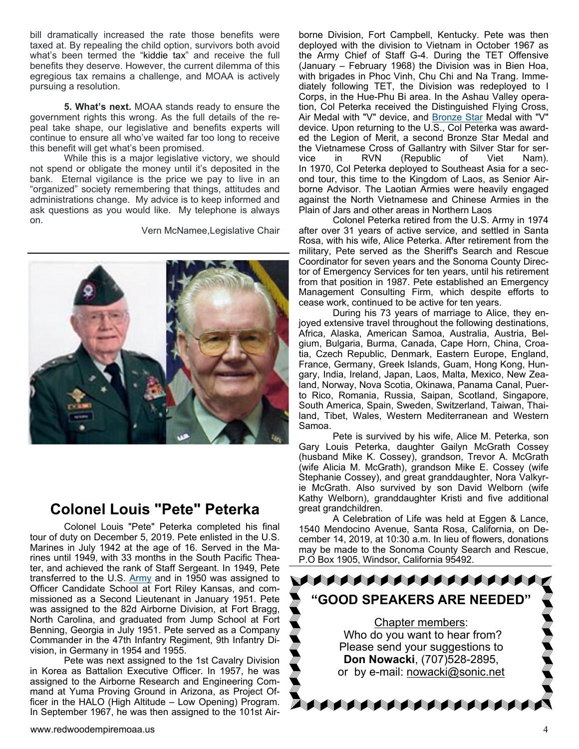bill dramatically increased the rate those benefits were taxed at. By repealing the child option, survivors both avoid what's been termed the "kiddie tax" and receive the full benefits they deserve. However, the current dilemma of this egregious tax remains a challenge, and MOAA is actively pursuing a resolution.

 **5. What's next.** MOAA stands ready to ensure the government rights this wrong. As the full details of the repeal take shape, our legislative and benefits experts will continue to ensure all who've waited far too long to receive this benefit will get what's been promised.

 While this is a major legislative victory, we should not spend or obligate the money until it's deposited in the bank. Eternal vigilance is the price we pay to live in an "organized" society remembering that things, attitudes and administrations change. My advice is to keep informed and ask questions as you would like. My telephone is always on.

Vern McNamee,Legislative Chair



# **Colonel Louis "Pete" Peterka**

 Colonel Louis "Pete" Peterka completed his final tour of duty on December 5, 2019. Pete enlisted in the U.S. Marines in July 1942 at the age of 16. Served in the Marines until 1949, with 33 months in the South Pacific Theater, and achieved the rank of Staff Sergeant. In 1949, Pete transferred to the U.S. Army and in 1950 was assigned to Officer Candidate School at Fort Riley Kansas, and commissioned as a Second Lieutenant in January 1951. Pete was assigned to the 82d Airborne Division, at Fort Bragg, North Carolina, and graduated from Jump School at Fort Benning, Georgia in July 1951. Pete served as a Company Commander in the 47th Infantry Regiment, 9th Infantry Division, in Germany in 1954 and 1955.

 Pete was next assigned to the 1st Cavalry Division in Korea as Battalion Executive Officer. In 1957, he was assigned to the Airborne Research and Engineering Command at Yuma Proving Ground in Arizona, as Project Officer in the HALO (High Altitude – Low Opening) Program. In September 1967, he was then assigned to the 101st Airborne Division, Fort Campbell, Kentucky. Pete was then deployed with the division to Vietnam in October 1967 as the Army Chief of Staff G-4. During the TET Offensive (January – February 1968) the Division was in Bien Hoa, with brigades in Phoc Vinh, Chu Chi and Na Trang. Immediately following TET, the Division was redeployed to I Corps, in the Hue-Phu Bi area. In the Ashau Valley operation, Col Peterka received the Distinguished Flying Cross, Air Medal with "V" device, and Bronze Star Medal with "V" device. Upon returning to the U.S., Col Peterka was awarded the Legion of Merit, a second Bronze Star Medal and the Vietnamese Cross of Gallantry with Silver Star for service in RVN (Republic of Viet Nam). In 1970, Col Peterka deployed to Southeast Asia for a second tour, this time to the Kingdom of Laos, as Senior Airborne Advisor. The Laotian Armies were heavily engaged against the North Vietnamese and Chinese Armies in the Plain of Jars and other areas in Northern Laos

 Colonel Peterka retired from the U.S. Army in 1974 after over 31 years of active service, and settled in Santa Rosa, with his wife, Alice Peterka. After retirement from the military, Pete served as the Sheriff's Search and Rescue Coordinator for seven years and the Sonoma County Director of Emergency Services for ten years, until his retirement from that position in 1987. Pete established an Emergency Management Consulting Firm, which despite efforts to cease work, continued to be active for ten years.

 During his 73 years of marriage to Alice, they enjoyed extensive travel throughout the following destinations, Africa, Alaska, American Samoa, Australia, Austria, Belgium, Bulgaria, Burma, Canada, Cape Horn, China, Croatia, Czech Republic, Denmark, Eastern Europe, England, France, Germany, Greek Islands, Guam, Hong Kong, Hungary, India, Ireland, Japan, Laos, Malta, Mexico, New Zealand, Norway, Nova Scotia, Okinawa, Panama Canal, Puerto Rico, Romania, Russia, Saipan, Scotland, Singapore, South America, Spain, Sweden, Switzerland, Taiwan, Thailand, Tibet, Wales, Western Mediterranean and Western Samoa.

 Pete is survived by his wife, Alice M. Peterka, son Gary Louis Peterka, daughter Gailyn McGrath Cossey (husband Mike K. Cossey), grandson, Trevor A. McGrath (wife Alicia M. McGrath), grandson Mike E. Cossey (wife Stephanie Cossey), and great granddaughter, Nora Valkyrie McGrath. Also survived by son David Welborn (wife Kathy Welborn), granddaughter Kristi and five additional great grandchildren.

 A Celebration of Life was held at Eggen & Lance, 1540 Mendocino Avenue, Santa Rosa, California, on December 14, 2019, at 10:30 a.m. In lieu of flowers, donations may be made to the Sonoma County Search and Rescue, P.O Box 1905, Windsor, California 95492.

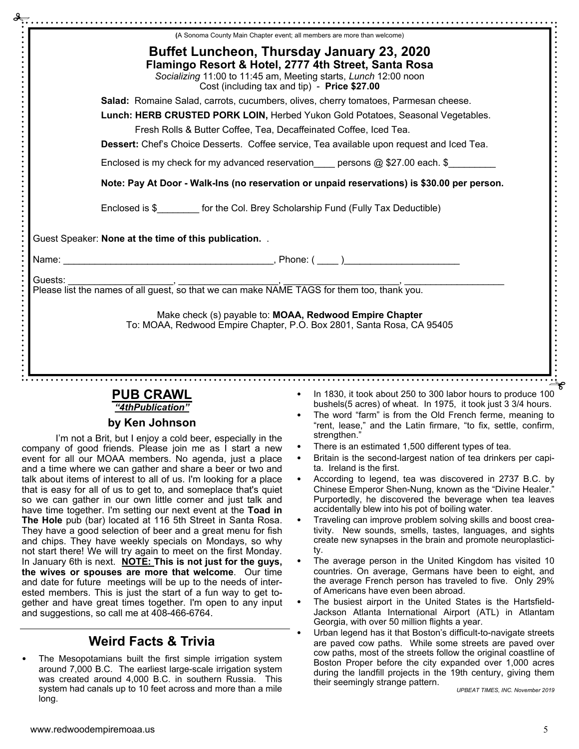|         | (A Sonoma County Main Chapter event; all members are more than welcome)                                                                                                                                                                     |  |  |  |  |
|---------|---------------------------------------------------------------------------------------------------------------------------------------------------------------------------------------------------------------------------------------------|--|--|--|--|
|         | <b>Buffet Luncheon, Thursday January 23, 2020</b><br>Flamingo Resort & Hotel, 2777 4th Street, Santa Rosa<br>Socializing 11:00 to 11:45 am, Meeting starts, Lunch 12:00 noon<br>Cost (including tax and tip) - Price \$27.00                |  |  |  |  |
|         | Salad: Romaine Salad, carrots, cucumbers, olives, cherry tomatoes, Parmesan cheese.<br>Lunch: HERB CRUSTED PORK LOIN, Herbed Yukon Gold Potatoes, Seasonal Vegetables.<br>Fresh Rolls & Butter Coffee, Tea, Decaffeinated Coffee, Iced Tea. |  |  |  |  |
|         |                                                                                                                                                                                                                                             |  |  |  |  |
|         |                                                                                                                                                                                                                                             |  |  |  |  |
|         | Dessert: Chef's Choice Desserts. Coffee service, Tea available upon request and Iced Tea.<br>Enclosed is my check for my advanced reservation____ persons @ \$27.00 each. \$________                                                        |  |  |  |  |
|         |                                                                                                                                                                                                                                             |  |  |  |  |
|         | Note: Pay At Door - Walk-Ins (no reservation or unpaid reservations) is \$30.00 per person.                                                                                                                                                 |  |  |  |  |
|         | Enclosed is \$ for the Col. Brey Scholarship Fund (Fully Tax Deductible)                                                                                                                                                                    |  |  |  |  |
|         | Guest Speaker: None at the time of this publication                                                                                                                                                                                         |  |  |  |  |
|         |                                                                                                                                                                                                                                             |  |  |  |  |
| Guests: |                                                                                                                                                                                                                                             |  |  |  |  |
|         | Make check (s) payable to: MOAA, Redwood Empire Chapter                                                                                                                                                                                     |  |  |  |  |

### **PUB CRAWL**  *"4thPublication"*

# **by Ken Johnson**

I'm not a Brit, but I enjoy a cold beer, especially in the company of good friends. Please join me as I start a new event for all our MOAA members. No agenda, just a place and a time where we can gather and share a beer or two and talk about items of interest to all of us. I'm looking for a place that is easy for all of us to get to, and someplace that's quiet so we can gather in our own little corner and just talk and have time together. I'm setting our next event at the **Toad in The Hole** pub (bar) located at 116 5th Street in Santa Rosa. They have a good selection of beer and a great menu for fish and chips. They have weekly specials on Mondays, so why not start there! We will try again to meet on the first Monday. In January 6th is next. **NOTE: This is not just for the guys, the wives or spouses are more that welcome**. Our time and date for future meetings will be up to the needs of interested members. This is just the start of a fun way to get together and have great times together. I'm open to any input and suggestions, so call me at 408-466-6764.

# **Weird Facts & Trivia**

The Mesopotamians built the first simple irrigation system around 7,000 B.C. The earliest large-scale irrigation system was created around 4,000 B.C. in southern Russia. This system had canals up to 10 feet across and more than a mile long.

- In 1830, it took about 250 to 300 labor hours to produce 100 bushels(5 acres) of wheat. In 1975, it took just 3 3/4 hours.
- The word "farm" is from the Old French ferme, meaning to "rent, lease," and the Latin firmare, "to fix, settle, confirm, strengthen."
- There is an estimated 1,500 different types of tea.
- Britain is the second-largest nation of tea drinkers per capita. Ireland is the first.
- According to legend, tea was discovered in 2737 B.C. by Chinese Emperor Shen-Nung, known as the "Divine Healer." Purportedly, he discovered the beverage when tea leaves accidentally blew into his pot of boiling water.
- Traveling can improve problem solving skills and boost creativity. New sounds, smells, tastes, languages, and sights create new synapses in the brain and promote neuroplasticity.
- The average person in the United Kingdom has visited 10 countries. On average, Germans have been to eight, and the average French person has traveled to five. Only 29% of Americans have even been abroad.
- The busiest airport in the United States is the Hartsfield-Jackson Atlanta International Airport (ATL) in Atlantam Georgia, with over 50 million flights a year.
- Urban legend has it that Boston's difficult-to-navigate streets are paved cow paths. While some streets are paved over cow paths, most of the streets follow the original coastline of Boston Proper before the city expanded over 1,000 acres during the landfill projects in the 19th century, giving them their seemingly strange pattern.

*UPBEAT TIMES, INC. November 2019*